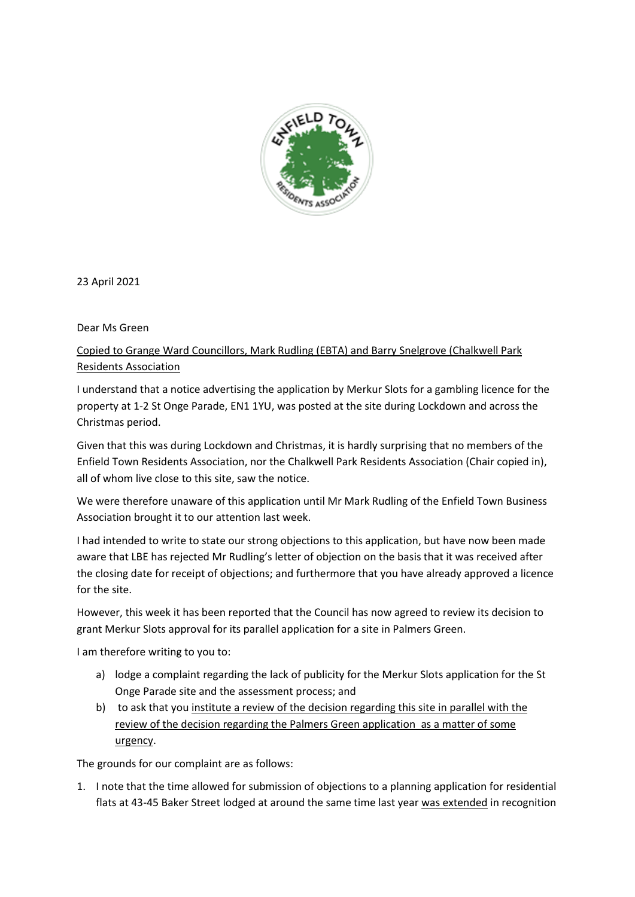

23 April 2021

Dear Ms Green

Copied to Grange Ward Councillors, Mark Rudling (EBTA) and Barry Snelgrove (Chalkwell Park Residents Association

I understand that a notice advertising the application by Merkur Slots for a gambling licence for the property at 1-2 St Onge Parade, EN1 1YU, was posted at the site during Lockdown and across the Christmas period.

Given that this was during Lockdown and Christmas, it is hardly surprising that no members of the Enfield Town Residents Association, nor the Chalkwell Park Residents Association (Chair copied in), all of whom live close to this site, saw the notice.

We were therefore unaware of this application until Mr Mark Rudling of the Enfield Town Business Association brought it to our attention last week.

I had intended to write to state our strong objections to this application, but have now been made aware that LBE has rejected Mr Rudling's letter of objection on the basis that it was received after the closing date for receipt of objections; and furthermore that you have already approved a licence for the site.

However, this week it has been reported that the Council has now agreed to review its decision to grant Merkur Slots approval for its parallel application for a site in Palmers Green.

I am therefore writing to you to:

- a) lodge a complaint regarding the lack of publicity for the Merkur Slots application for the St Onge Parade site and the assessment process; and
- b) to ask that you institute a review of the decision regarding this site in parallel with the review of the decision regarding the Palmers Green application as a matter of some urgency.

The grounds for our complaint are as follows:

1. I note that the time allowed for submission of objections to a planning application for residential flats at 43-45 Baker Street lodged at around the same time last year was extended in recognition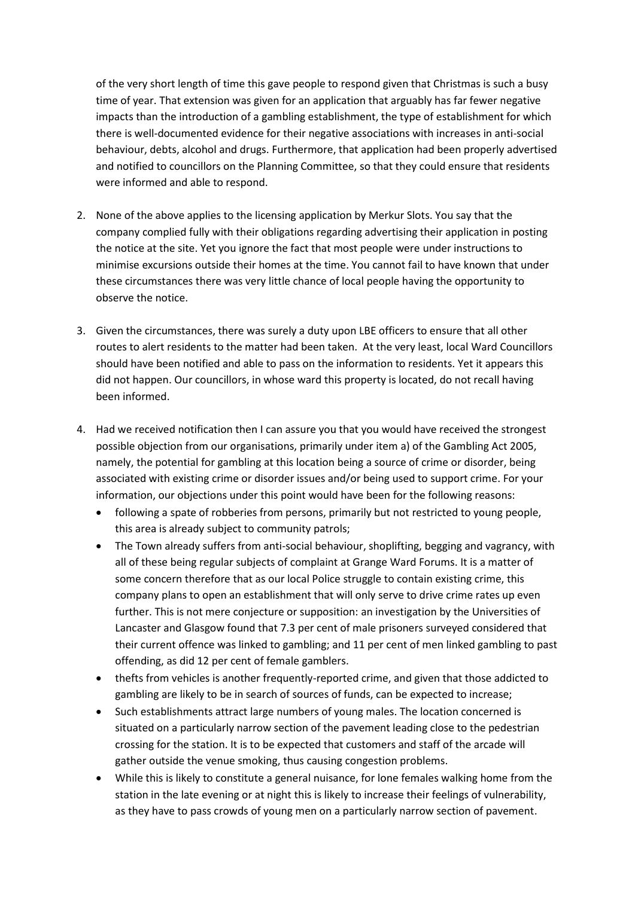of the very short length of time this gave people to respond given that Christmas is such a busy time of year. That extension was given for an application that arguably has far fewer negative impacts than the introduction of a gambling establishment, the type of establishment for which there is well-documented evidence for their negative associations with increases in anti-social behaviour, debts, alcohol and drugs. Furthermore, that application had been properly advertised and notified to councillors on the Planning Committee, so that they could ensure that residents were informed and able to respond.

- 2. None of the above applies to the licensing application by Merkur Slots. You say that the company complied fully with their obligations regarding advertising their application in posting the notice at the site. Yet you ignore the fact that most people were under instructions to minimise excursions outside their homes at the time. You cannot fail to have known that under these circumstances there was very little chance of local people having the opportunity to observe the notice.
- 3. Given the circumstances, there was surely a duty upon LBE officers to ensure that all other routes to alert residents to the matter had been taken. At the very least, local Ward Councillors should have been notified and able to pass on the information to residents. Yet it appears this did not happen. Our councillors, in whose ward this property is located, do not recall having been informed.
- 4. Had we received notification then I can assure you that you would have received the strongest possible objection from our organisations, primarily under item a) of the Gambling Act 2005, namely, the potential for gambling at this location being a source of crime or disorder, being associated with existing crime or disorder issues and/or being used to support crime. For your information, our objections under this point would have been for the following reasons:
	- following a spate of robberies from persons, primarily but not restricted to young people, this area is already subject to community patrols;
	- The Town already suffers from anti-social behaviour, shoplifting, begging and vagrancy, with all of these being regular subjects of complaint at Grange Ward Forums. It is a matter of some concern therefore that as our local Police struggle to contain existing crime, this company plans to open an establishment that will only serve to drive crime rates up even further. This is not mere conjecture or supposition: an investigation by the Universities of Lancaster and Glasgow found that 7.3 per cent of male prisoners surveyed considered that their current offence was linked to gambling; and 11 per cent of men linked gambling to past offending, as did 12 per cent of female gamblers.
	- thefts from vehicles is another frequently-reported crime, and given that those addicted to gambling are likely to be in search of sources of funds, can be expected to increase;
	- Such establishments attract large numbers of young males. The location concerned is situated on a particularly narrow section of the pavement leading close to the pedestrian crossing for the station. It is to be expected that customers and staff of the arcade will gather outside the venue smoking, thus causing congestion problems.
	- While this is likely to constitute a general nuisance, for lone females walking home from the station in the late evening or at night this is likely to increase their feelings of vulnerability, as they have to pass crowds of young men on a particularly narrow section of pavement.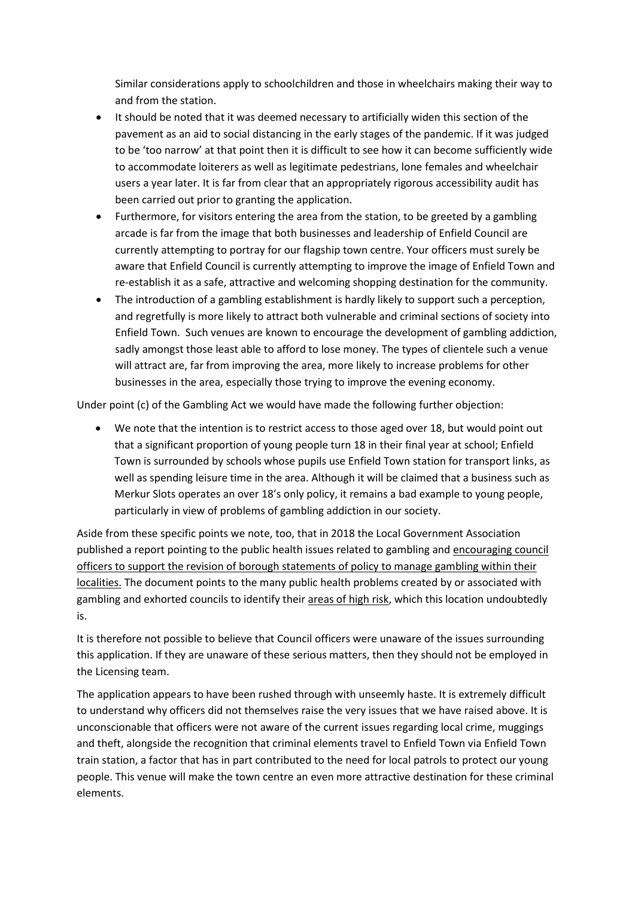Similar considerations apply to schoolchildren and those in wheelchairs making their way to and from the station.

- It should be noted that it was deemed necessary to artificially widen this section of the pavement as an aid to social distancing in the early stages of the pandemic. If it was judged to be 'too narrow' at that point then it is difficult to see how it can become sufficiently wide to accommodate loiterers as well as legitimate pedestrians, lone females and wheelchair users a year later. It is far from clear that an appropriately rigorous accessibility audit has been carried out prior to granting the application.
- Furthermore, for visitors entering the area from the station, to be greeted by a gambling arcade is far from the image that both businesses and leadership of Enfield Council are currently attempting to portray for our flagship town centre. Your officers must surely be aware that Enfield Council is currently attempting to improve the image of Enfield Town and re-establish it as a safe, attractive and welcoming shopping destination for the community.
- The introduction of a gambling establishment is hardly likely to support such a perception, and regretfully is more likely to attract both vulnerable and criminal sections of society into Enfield Town. Such venues are known to encourage the development of gambling addiction, sadly amongst those least able to afford to lose money. The types of clientele such a venue will attract are, far from improving the area, more likely to increase problems for other businesses in the area, especially those trying to improve the evening economy.

Under point (c) of the Gambling Act we would have made the following further objection:

 We note that the intention is to restrict access to those aged over 18, but would point out that a significant proportion of young people turn 18 in their final year at school; Enfield Town is surrounded by schools whose pupils use Enfield Town station for transport links, as well as spending leisure time in the area. Although it will be claimed that a business such as Merkur Slots operates an over 18's only policy, it remains a bad example to young people, particularly in view of problems of gambling addiction in our society.

Aside from these specific points we note, too, that in 2018 the Local Government Association published a report pointing to the public health issues related to gambling and encouraging council officers to support the revision of borough statements of policy to manage gambling within their localities. The document points to the many public health problems created by or associated with gambling and exhorted councils to identify their areas of high risk, which this location undoubtedly is.

It is therefore not possible to believe that Council officers were unaware of the issues surrounding this application. If they are unaware of these serious matters, then they should not be employed in the Licensing team.

The application appears to have been rushed through with unseemly haste. It is extremely difficult to understand why officers did not themselves raise the very issues that we have raised above. It is unconscionable that officers were not aware of the current issues regarding local crime, muggings and theft, alongside the recognition that criminal elements travel to Enfield Town via Enfield Town train station, a factor that has in part contributed to the need for local patrols to protect our young people. This venue will make the town centre an even more attractive destination for these criminal elements.